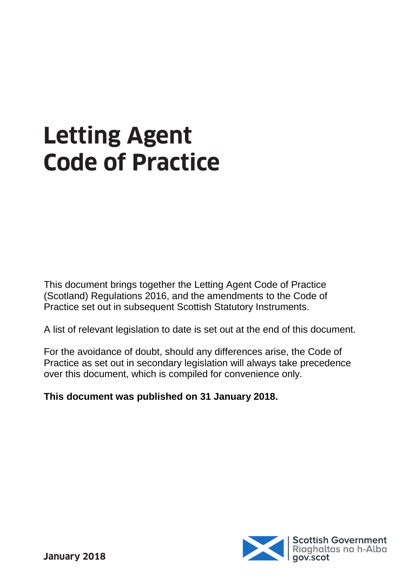# **Letting Agent Code of Practice**

This document brings together the Letting Agent Code of Practice (Scotland) Regulations 2016, and the amendments to the Code of Practice set out in subsequent Scottish Statutory Instruments.

A list of relevant legislation to date is set out at the end of this document.

For the avoidance of doubt, should any differences arise, the Code of Practice as set out in secondary legislation will always take precedence over this document, which is compiled for convenience only.

**This document was published on 31 January 2018.**

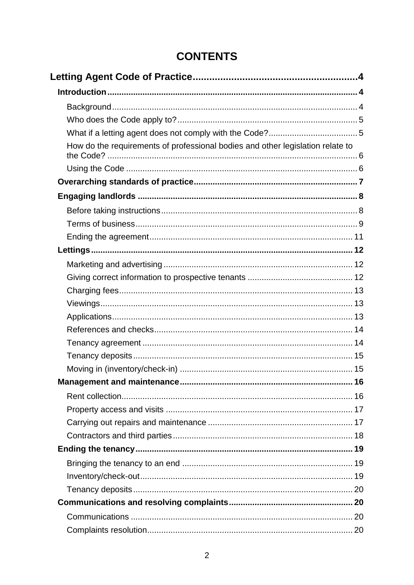## **CONTENTS**

| How do the requirements of professional bodies and other legislation relate to |  |
|--------------------------------------------------------------------------------|--|
|                                                                                |  |
|                                                                                |  |
|                                                                                |  |
|                                                                                |  |
|                                                                                |  |
|                                                                                |  |
|                                                                                |  |
|                                                                                |  |
|                                                                                |  |
|                                                                                |  |
|                                                                                |  |
|                                                                                |  |
|                                                                                |  |
|                                                                                |  |
|                                                                                |  |
|                                                                                |  |
|                                                                                |  |
|                                                                                |  |
|                                                                                |  |
|                                                                                |  |
|                                                                                |  |
|                                                                                |  |
|                                                                                |  |
|                                                                                |  |
|                                                                                |  |
|                                                                                |  |
|                                                                                |  |
|                                                                                |  |
|                                                                                |  |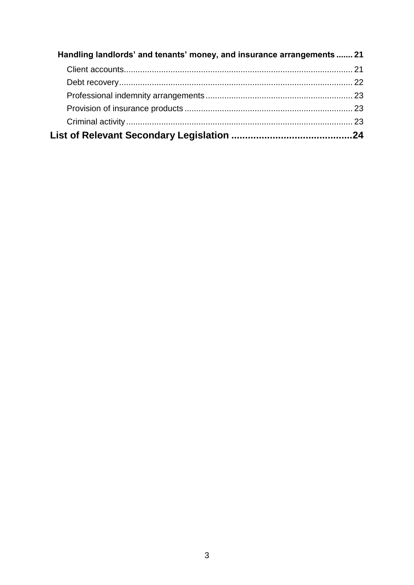| Handling landlords' and tenants' money, and insurance arrangements  21 |  |
|------------------------------------------------------------------------|--|
|                                                                        |  |
|                                                                        |  |
|                                                                        |  |
|                                                                        |  |
|                                                                        |  |
|                                                                        |  |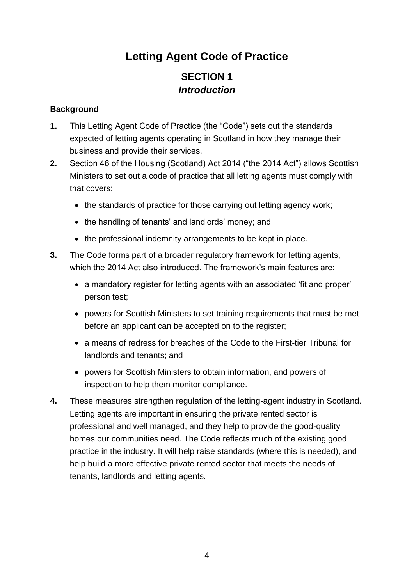## **Letting Agent Code of Practice**

## **SECTION 1** *Introduction*

#### <span id="page-3-2"></span><span id="page-3-1"></span><span id="page-3-0"></span>**Background**

- **1.** This Letting Agent Code of Practice (the "Code") sets out the standards expected of letting agents operating in Scotland in how they manage their business and provide their services.
- **2.** Section 46 of the Housing (Scotland) Act 2014 ("the 2014 Act") allows Scottish Ministers to set out a code of practice that all letting agents must comply with that covers:
	- the standards of practice for those carrying out letting agency work;
	- the handling of tenants' and landlords' money; and
	- the professional indemnity arrangements to be kept in place.
- **3.** The Code forms part of a broader regulatory framework for letting agents, which the 2014 Act also introduced. The framework's main features are:
	- a mandatory register for letting agents with an associated 'fit and proper' person test;
	- powers for Scottish Ministers to set training requirements that must be met before an applicant can be accepted on to the register;
	- a means of redress for breaches of the Code to the First-tier Tribunal for landlords and tenants; and
	- powers for Scottish Ministers to obtain information, and powers of inspection to help them monitor compliance.
- **4.** These measures strengthen regulation of the letting-agent industry in Scotland. Letting agents are important in ensuring the private rented sector is professional and well managed, and they help to provide the good-quality homes our communities need. The Code reflects much of the existing good practice in the industry. It will help raise standards (where this is needed), and help build a more effective private rented sector that meets the needs of tenants, landlords and letting agents.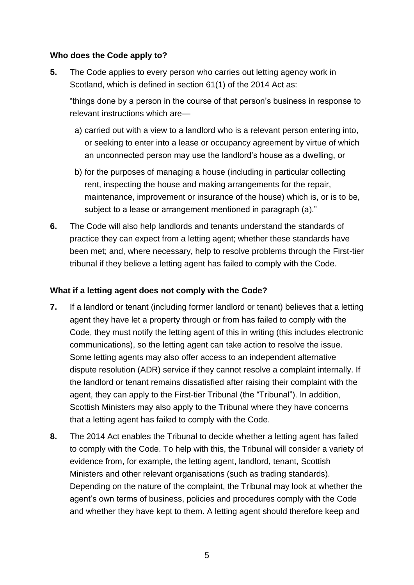#### <span id="page-4-0"></span>**Who does the Code apply to?**

**5.** The Code applies to every person who carries out letting agency work in Scotland, which is defined in section 61(1) of the 2014 Act as:

"things done by a person in the course of that person's business in response to relevant instructions which are—

- a) carried out with a view to a landlord who is a relevant person entering into, or seeking to enter into a lease or occupancy agreement by virtue of which an unconnected person may use the landlord's house as a dwelling, or
- b) for the purposes of managing a house (including in particular collecting rent, inspecting the house and making arrangements for the repair, maintenance, improvement or insurance of the house) which is, or is to be, subject to a lease or arrangement mentioned in paragraph (a)."
- **6.** The Code will also help landlords and tenants understand the standards of practice they can expect from a letting agent; whether these standards have been met; and, where necessary, help to resolve problems through the First-tier tribunal if they believe a letting agent has failed to comply with the Code.

#### <span id="page-4-1"></span>**What if a letting agent does not comply with the Code?**

- **7.** If a landlord or tenant (including former landlord or tenant) believes that a letting agent they have let a property through or from has failed to comply with the Code, they must notify the letting agent of this in writing (this includes electronic communications), so the letting agent can take action to resolve the issue. Some letting agents may also offer access to an independent alternative dispute resolution (ADR) service if they cannot resolve a complaint internally. If the landlord or tenant remains dissatisfied after raising their complaint with the agent, they can apply to the First-tier Tribunal (the "Tribunal"). In addition, Scottish Ministers may also apply to the Tribunal where they have concerns that a letting agent has failed to comply with the Code.
- **8.** The 2014 Act enables the Tribunal to decide whether a letting agent has failed to comply with the Code. To help with this, the Tribunal will consider a variety of evidence from, for example, the letting agent, landlord, tenant, Scottish Ministers and other relevant organisations (such as trading standards). Depending on the nature of the complaint, the Tribunal may look at whether the agent's own terms of business, policies and procedures comply with the Code and whether they have kept to them. A letting agent should therefore keep and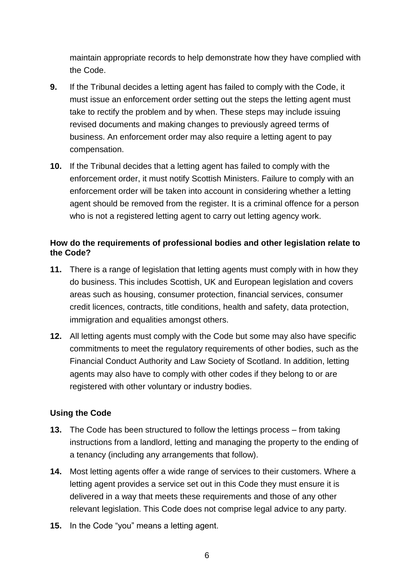maintain appropriate records to help demonstrate how they have complied with the Code.

- **9.** If the Tribunal decides a letting agent has failed to comply with the Code, it must issue an enforcement order setting out the steps the letting agent must take to rectify the problem and by when. These steps may include issuing revised documents and making changes to previously agreed terms of business. An enforcement order may also require a letting agent to pay compensation.
- **10.** If the Tribunal decides that a letting agent has failed to comply with the enforcement order, it must notify Scottish Ministers. Failure to comply with an enforcement order will be taken into account in considering whether a letting agent should be removed from the register. It is a criminal offence for a person who is not a registered letting agent to carry out letting agency work.

#### <span id="page-5-0"></span>**How do the requirements of professional bodies and other legislation relate to the Code?**

- **11.** There is a range of legislation that letting agents must comply with in how they do business. This includes Scottish, UK and European legislation and covers areas such as housing, consumer protection, financial services, consumer credit licences, contracts, title conditions, health and safety, data protection, immigration and equalities amongst others.
- **12.** All letting agents must comply with the Code but some may also have specific commitments to meet the regulatory requirements of other bodies, such as the Financial Conduct Authority and Law Society of Scotland. In addition, letting agents may also have to comply with other codes if they belong to or are registered with other voluntary or industry bodies.

#### <span id="page-5-1"></span>**Using the Code**

- **13.** The Code has been structured to follow the lettings process from taking instructions from a landlord, letting and managing the property to the ending of a tenancy (including any arrangements that follow).
- **14.** Most letting agents offer a wide range of services to their customers. Where a letting agent provides a service set out in this Code they must ensure it is delivered in a way that meets these requirements and those of any other relevant legislation. This Code does not comprise legal advice to any party.
- **15.** In the Code "you" means a letting agent.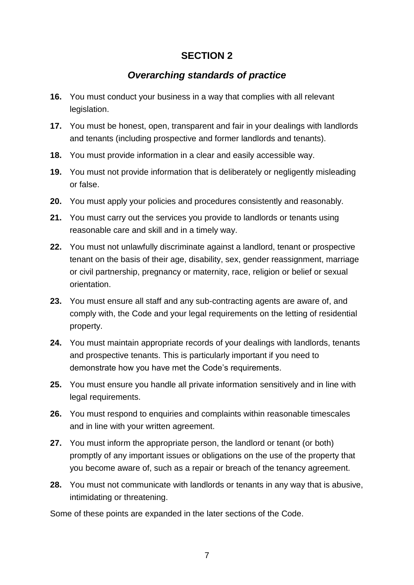## *Overarching standards of practice*

- <span id="page-6-0"></span>**16.** You must conduct your business in a way that complies with all relevant legislation.
- **17.** You must be honest, open, transparent and fair in your dealings with landlords and tenants (including prospective and former landlords and tenants).
- **18.** You must provide information in a clear and easily accessible way.
- **19.** You must not provide information that is deliberately or negligently misleading or false.
- **20.** You must apply your policies and procedures consistently and reasonably.
- **21.** You must carry out the services you provide to landlords or tenants using reasonable care and skill and in a timely way.
- **22.** You must not unlawfully discriminate against a landlord, tenant or prospective tenant on the basis of their age, disability, sex, gender reassignment, marriage or civil partnership, pregnancy or maternity, race, religion or belief or sexual orientation.
- **23.** You must ensure all staff and any sub-contracting agents are aware of, and comply with, the Code and your legal requirements on the letting of residential property.
- **24.** You must maintain appropriate records of your dealings with landlords, tenants and prospective tenants. This is particularly important if you need to demonstrate how you have met the Code's requirements.
- **25.** You must ensure you handle all private information sensitively and in line with legal requirements.
- **26.** You must respond to enquiries and complaints within reasonable timescales and in line with your written agreement.
- **27.** You must inform the appropriate person, the landlord or tenant (or both) promptly of any important issues or obligations on the use of the property that you become aware of, such as a repair or breach of the tenancy agreement.
- **28.** You must not communicate with landlords or tenants in any way that is abusive, intimidating or threatening.

Some of these points are expanded in the later sections of the Code.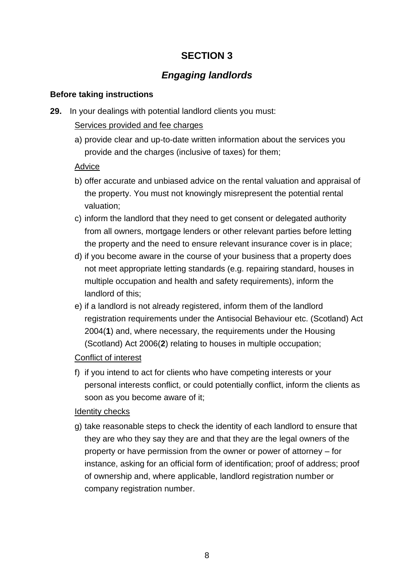## *Engaging landlords*

#### <span id="page-7-1"></span><span id="page-7-0"></span>**Before taking instructions**

**29.** In your dealings with potential landlord clients you must:

#### Services provided and fee charges

a) provide clear and up-to-date written information about the services you provide and the charges (inclusive of taxes) for them;

#### Advice

- b) offer accurate and unbiased advice on the rental valuation and appraisal of the property. You must not knowingly misrepresent the potential rental valuation;
- c) inform the landlord that they need to get consent or delegated authority from all owners, mortgage lenders or other relevant parties before letting the property and the need to ensure relevant insurance cover is in place;
- d) if you become aware in the course of your business that a property does not meet appropriate letting standards (e.g. repairing standard, houses in multiple occupation and health and safety requirements), inform the landlord of this;
- e) if a landlord is not already registered, inform them of the landlord registration requirements under the Antisocial Behaviour etc. (Scotland) Act 2004(**[1](http://www.legislation.gov.uk/ssi/2016/133/schedule/made#f00002)**) and, where necessary, the requirements under the Housing (Scotland) Act 2006(**[2](http://www.legislation.gov.uk/ssi/2016/133/schedule/made#f00003)**) relating to houses in multiple occupation;

#### Conflict of interest

f) if you intend to act for clients who have competing interests or your personal interests conflict, or could potentially conflict, inform the clients as soon as you become aware of it;

#### Identity checks

g) take reasonable steps to check the identity of each landlord to ensure that they are who they say they are and that they are the legal owners of the property or have permission from the owner or power of attorney – for instance, asking for an official form of identification; proof of address; proof of ownership and, where applicable, landlord registration number or company registration number.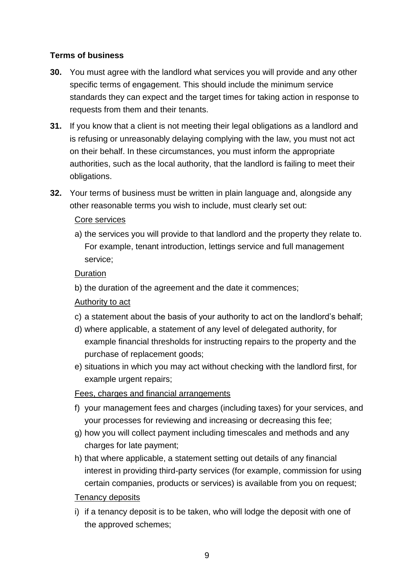#### <span id="page-8-0"></span>**Terms of business**

- **30.** You must agree with the landlord what services you will provide and any other specific terms of engagement. This should include the minimum service standards they can expect and the target times for taking action in response to requests from them and their tenants.
- **31.** If you know that a client is not meeting their legal obligations as a landlord and is refusing or unreasonably delaying complying with the law, you must not act on their behalf. In these circumstances, you must inform the appropriate authorities, such as the local authority, that the landlord is failing to meet their obligations.
- **32.** Your terms of business must be written in plain language and, alongside any other reasonable terms you wish to include, must clearly set out:

#### Core services

a) the services you will provide to that landlord and the property they relate to. For example, tenant introduction, lettings service and full management service;

#### **Duration**

b) the duration of the agreement and the date it commences;

#### Authority to act

- c) a statement about the basis of your authority to act on the landlord's behalf;
- d) where applicable, a statement of any level of delegated authority, for example financial thresholds for instructing repairs to the property and the purchase of replacement goods;
- e) situations in which you may act without checking with the landlord first, for example urgent repairs;

#### Fees, charges and financial arrangements

- f) your management fees and charges (including taxes) for your services, and your processes for reviewing and increasing or decreasing this fee;
- g) how you will collect payment including timescales and methods and any charges for late payment;
- h) that where applicable, a statement setting out details of any financial interest in providing third-party services (for example, commission for using certain companies, products or services) is available from you on request;

#### Tenancy deposits

i) if a tenancy deposit is to be taken, who will lodge the deposit with one of the approved schemes;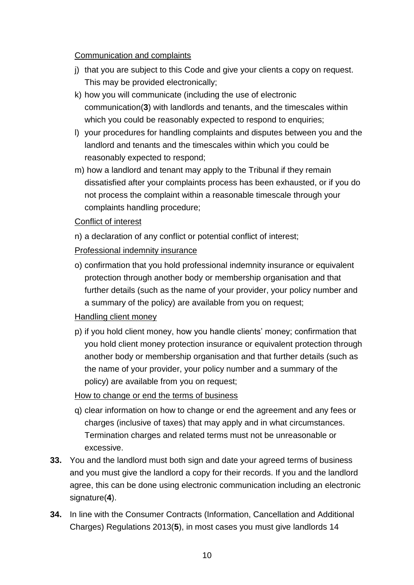#### Communication and complaints

- j) that you are subject to this Code and give your clients a copy on request. This may be provided electronically;
- k) how you will communicate (including the use of electronic communication(**[3](http://www.legislation.gov.uk/ssi/2016/133/schedule/made#f00004)**) with landlords and tenants, and the timescales within which you could be reasonably expected to respond to enquiries;
- l) your procedures for handling complaints and disputes between you and the landlord and tenants and the timescales within which you could be reasonably expected to respond;
- m) how a landlord and tenant may apply to the Tribunal if they remain dissatisfied after your complaints process has been exhausted, or if you do not process the complaint within a reasonable timescale through your complaints handling procedure;

#### Conflict of interest

n) a declaration of any conflict or potential conflict of interest;

#### Professional indemnity insurance

o) confirmation that you hold professional indemnity insurance or equivalent protection through another body or membership organisation and that further details (such as the name of your provider, your policy number and a summary of the policy) are available from you on request;

#### Handling client money

p) if you hold client money, how you handle clients' money; confirmation that you hold client money protection insurance or equivalent protection through another body or membership organisation and that further details (such as the name of your provider, your policy number and a summary of the policy) are available from you on request;

#### How to change or end the terms of business

- q) clear information on how to change or end the agreement and any fees or charges (inclusive of taxes) that may apply and in what circumstances. Termination charges and related terms must not be unreasonable or excessive.
- **33.** You and the landlord must both sign and date your agreed terms of business and you must give the landlord a copy for their records. If you and the landlord agree, this can be done using electronic communication including an electronic signature(**[4](http://www.legislation.gov.uk/ssi/2016/133/schedule/made#f00005)**).
- **34.** In line with the Consumer Contracts (Information, Cancellation and Additional Charges) Regulations 2013(**[5](http://www.legislation.gov.uk/ssi/2016/133/schedule/made#f00006)**), in most cases you must give landlords 14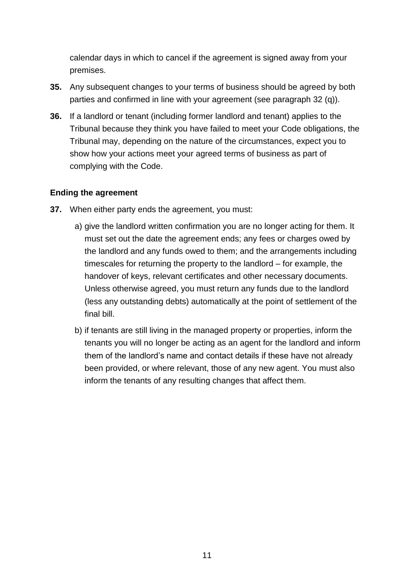calendar days in which to cancel if the agreement is signed away from your premises.

- **35.** Any subsequent changes to your terms of business should be agreed by both parties and confirmed in line with your agreement (see paragraph 32 (q)).
- **36.** If a landlord or tenant (including former landlord and tenant) applies to the Tribunal because they think you have failed to meet your Code obligations, the Tribunal may, depending on the nature of the circumstances, expect you to show how your actions meet your agreed terms of business as part of complying with the Code.

#### <span id="page-10-0"></span>**Ending the agreement**

- **37.** When either party ends the agreement, you must:
	- a) give the landlord written confirmation you are no longer acting for them. It must set out the date the agreement ends; any fees or charges owed by the landlord and any funds owed to them; and the arrangements including timescales for returning the property to the landlord – for example, the handover of keys, relevant certificates and other necessary documents. Unless otherwise agreed, you must return any funds due to the landlord (less any outstanding debts) automatically at the point of settlement of the final bill.
	- b) if tenants are still living in the managed property or properties, inform the tenants you will no longer be acting as an agent for the landlord and inform them of the landlord's name and contact details if these have not already been provided, or where relevant, those of any new agent. You must also inform the tenants of any resulting changes that affect them.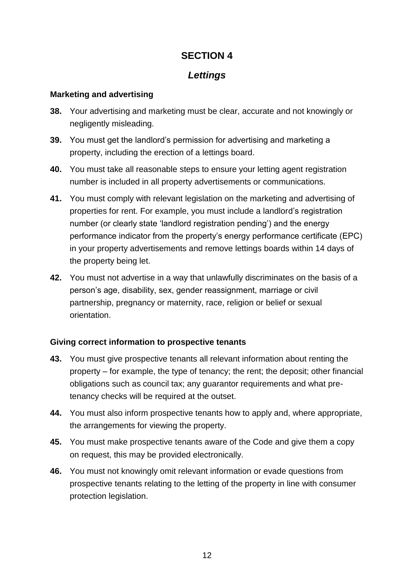#### *Lettings*

#### <span id="page-11-1"></span><span id="page-11-0"></span>**Marketing and advertising**

- **38.** Your advertising and marketing must be clear, accurate and not knowingly or negligently misleading.
- **39.** You must get the landlord's permission for advertising and marketing a property, including the erection of a lettings board.
- **40.** You must take all reasonable steps to ensure your letting agent registration number is included in all property advertisements or communications.
- **41.** You must comply with relevant legislation on the marketing and advertising of properties for rent. For example, you must include a landlord's registration number (or clearly state 'landlord registration pending') and the energy performance indicator from the property's energy performance certificate (EPC) in your property advertisements and remove lettings boards within 14 days of the property being let.
- **42.** You must not advertise in a way that unlawfully discriminates on the basis of a person's age, disability, sex, gender reassignment, marriage or civil partnership, pregnancy or maternity, race, religion or belief or sexual orientation.

#### <span id="page-11-2"></span>**Giving correct information to prospective tenants**

- **43.** You must give prospective tenants all relevant information about renting the property – for example, the type of tenancy; the rent; the deposit; other financial obligations such as council tax; any guarantor requirements and what pretenancy checks will be required at the outset.
- **44.** You must also inform prospective tenants how to apply and, where appropriate, the arrangements for viewing the property.
- **45.** You must make prospective tenants aware of the Code and give them a copy on request, this may be provided electronically.
- <span id="page-11-3"></span>**46.** You must not knowingly omit relevant information or evade questions from prospective tenants relating to the letting of the property in line with consumer protection legislation.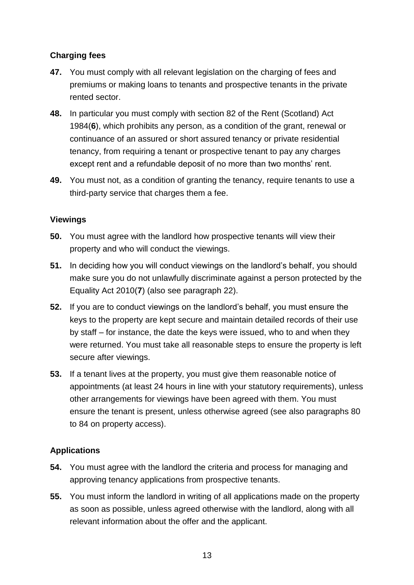#### **Charging fees**

- **47.** You must comply with all relevant legislation on the charging of fees and premiums or making loans to tenants and prospective tenants in the private rented sector.
- **48.** In particular you must comply with section 82 of the Rent (Scotland) Act 1984(**[6](http://www.legislation.gov.uk/ssi/2016/133/schedule/made#f00007)**), which prohibits any person, as a condition of the grant, renewal or continuance of an assured or short assured tenancy or private residential tenancy, from requiring a tenant or prospective tenant to pay any charges except rent and a refundable deposit of no more than two months' rent.
- **49.** You must not, as a condition of granting the tenancy, require tenants to use a third-party service that charges them a fee.

#### <span id="page-12-0"></span>**Viewings**

- **50.** You must agree with the landlord how prospective tenants will view their property and who will conduct the viewings.
- **51.** In deciding how you will conduct viewings on the landlord's behalf, you should make sure you do not unlawfully discriminate against a person protected by the Equality Act 2010(**[7](http://www.legislation.gov.uk/ssi/2016/133/schedule/made#f00008)**) (also see paragraph 22).
- **52.** If you are to conduct viewings on the landlord's behalf, you must ensure the keys to the property are kept secure and maintain detailed records of their use by staff – for instance, the date the keys were issued, who to and when they were returned. You must take all reasonable steps to ensure the property is left secure after viewings.
- **53.** If a tenant lives at the property, you must give them reasonable notice of appointments (at least 24 hours in line with your statutory requirements), unless other arrangements for viewings have been agreed with them. You must ensure the tenant is present, unless otherwise agreed (see also paragraphs 80 to 84 on property access).

#### <span id="page-12-1"></span>**Applications**

- **54.** You must agree with the landlord the criteria and process for managing and approving tenancy applications from prospective tenants.
- **55.** You must inform the landlord in writing of all applications made on the property as soon as possible, unless agreed otherwise with the landlord, along with all relevant information about the offer and the applicant.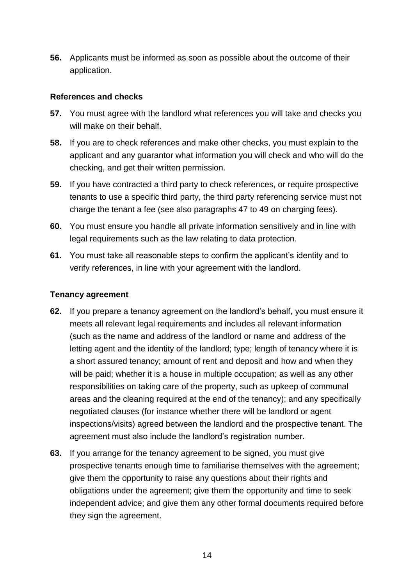**56.** Applicants must be informed as soon as possible about the outcome of their application.

#### <span id="page-13-0"></span>**References and checks**

- **57.** You must agree with the landlord what references you will take and checks you will make on their behalf.
- **58.** If you are to check references and make other checks, you must explain to the applicant and any guarantor what information you will check and who will do the checking, and get their written permission.
- **59.** If you have contracted a third party to check references, or require prospective tenants to use a specific third party, the third party referencing service must not charge the tenant a fee (see also paragraphs 47 to 49 on charging fees).
- **60.** You must ensure you handle all private information sensitively and in line with legal requirements such as the law relating to data protection.
- **61.** You must take all reasonable steps to confirm the applicant's identity and to verify references, in line with your agreement with the landlord.

#### <span id="page-13-1"></span>**Tenancy agreement**

- **62.** If you prepare a tenancy agreement on the landlord's behalf, you must ensure it meets all relevant legal requirements and includes all relevant information (such as the name and address of the landlord or name and address of the letting agent and the identity of the landlord; type; length of tenancy where it is a short assured tenancy; amount of rent and deposit and how and when they will be paid; whether it is a house in multiple occupation; as well as any other responsibilities on taking care of the property, such as upkeep of communal areas and the cleaning required at the end of the tenancy); and any specifically negotiated clauses (for instance whether there will be landlord or agent inspections/visits) agreed between the landlord and the prospective tenant. The agreement must also include the landlord's registration number.
- **63.** If you arrange for the tenancy agreement to be signed, you must give prospective tenants enough time to familiarise themselves with the agreement; give them the opportunity to raise any questions about their rights and obligations under the agreement; give them the opportunity and time to seek independent advice; and give them any other formal documents required before they sign the agreement.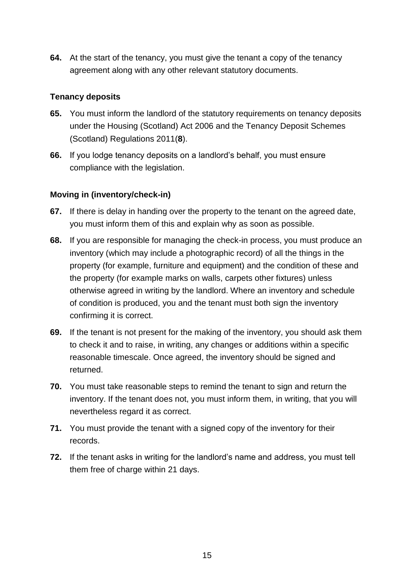**64.** At the start of the tenancy, you must give the tenant a copy of the tenancy agreement along with any other relevant statutory documents.

#### <span id="page-14-0"></span>**Tenancy deposits**

- **65.** You must inform the landlord of the statutory requirements on tenancy deposits under the Housing (Scotland) Act 2006 and the Tenancy Deposit Schemes (Scotland) Regulations 2011(**[8](http://www.legislation.gov.uk/ssi/2016/133/schedule/made#f00009)**).
- **66.** If you lodge tenancy deposits on a landlord's behalf, you must ensure compliance with the legislation.

#### <span id="page-14-1"></span>**Moving in (inventory/check-in)**

- **67.** If there is delay in handing over the property to the tenant on the agreed date, you must inform them of this and explain why as soon as possible.
- **68.** If you are responsible for managing the check-in process, you must produce an inventory (which may include a photographic record) of all the things in the property (for example, furniture and equipment) and the condition of these and the property (for example marks on walls, carpets other fixtures) unless otherwise agreed in writing by the landlord. Where an inventory and schedule of condition is produced, you and the tenant must both sign the inventory confirming it is correct.
- **69.** If the tenant is not present for the making of the inventory, you should ask them to check it and to raise, in writing, any changes or additions within a specific reasonable timescale. Once agreed, the inventory should be signed and returned.
- **70.** You must take reasonable steps to remind the tenant to sign and return the inventory. If the tenant does not, you must inform them, in writing, that you will nevertheless regard it as correct.
- **71.** You must provide the tenant with a signed copy of the inventory for their records.
- **72.** If the tenant asks in writing for the landlord's name and address, you must tell them free of charge within 21 days.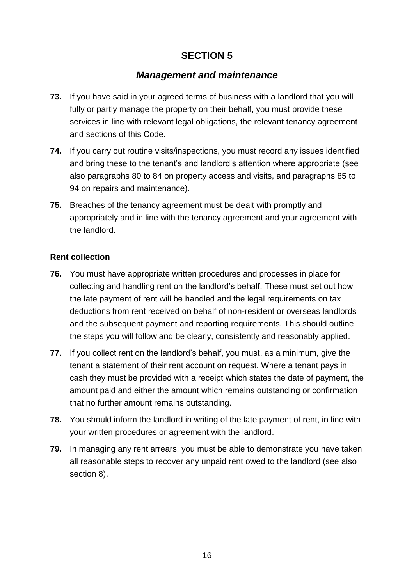#### *Management and maintenance*

- <span id="page-15-0"></span>**73.** If you have said in your agreed terms of business with a landlord that you will fully or partly manage the property on their behalf, you must provide these services in line with relevant legal obligations, the relevant tenancy agreement and sections of this Code.
- **74.** If you carry out routine visits/inspections, you must record any issues identified and bring these to the tenant's and landlord's attention where appropriate (see also paragraphs 80 to 84 on property access and visits, and paragraphs 85 to 94 on repairs and maintenance).
- **75.** Breaches of the tenancy agreement must be dealt with promptly and appropriately and in line with the tenancy agreement and your agreement with the landlord.

#### <span id="page-15-1"></span>**Rent collection**

- **76.** You must have appropriate written procedures and processes in place for collecting and handling rent on the landlord's behalf. These must set out how the late payment of rent will be handled and the legal requirements on tax deductions from rent received on behalf of non-resident or overseas landlords and the subsequent payment and reporting requirements. This should outline the steps you will follow and be clearly, consistently and reasonably applied.
- **77.** If you collect rent on the landlord's behalf, you must, as a minimum, give the tenant a statement of their rent account on request. Where a tenant pays in cash they must be provided with a receipt which states the date of payment, the amount paid and either the amount which remains outstanding or confirmation that no further amount remains outstanding.
- **78.** You should inform the landlord in writing of the late payment of rent, in line with your written procedures or agreement with the landlord.
- <span id="page-15-2"></span>**79.** In managing any rent arrears, you must be able to demonstrate you have taken all reasonable steps to recover any unpaid rent owed to the landlord (see also section 8).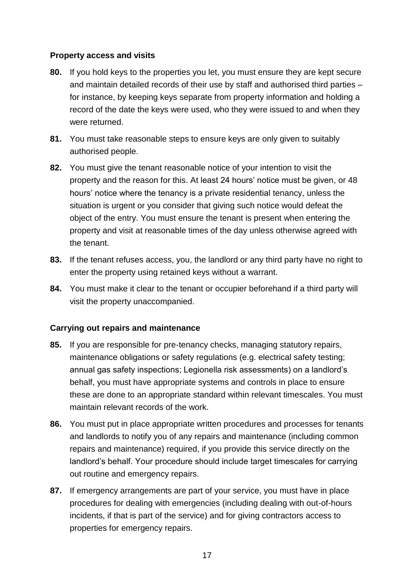#### **Property access and visits**

- **80.** If you hold keys to the properties you let, you must ensure they are kept secure and maintain detailed records of their use by staff and authorised third parties – for instance, by keeping keys separate from property information and holding a record of the date the keys were used, who they were issued to and when they were returned.
- **81.** You must take reasonable steps to ensure keys are only given to suitably authorised people.
- **82.** You must give the tenant reasonable notice of your intention to visit the property and the reason for this. At least 24 hours' notice must be given, or 48 hours' notice where the tenancy is a private residential tenancy, unless the situation is urgent or you consider that giving such notice would defeat the object of the entry. You must ensure the tenant is present when entering the property and visit at reasonable times of the day unless otherwise agreed with the tenant.
- **83.** If the tenant refuses access, you, the landlord or any third party have no right to enter the property using retained keys without a warrant.
- **84.** You must make it clear to the tenant or occupier beforehand if a third party will visit the property unaccompanied.

#### <span id="page-16-0"></span>**Carrying out repairs and maintenance**

- **85.** If you are responsible for pre-tenancy checks, managing statutory repairs, maintenance obligations or safety regulations (e.g. electrical safety testing; annual gas safety inspections; Legionella risk assessments) on a landlord's behalf, you must have appropriate systems and controls in place to ensure these are done to an appropriate standard within relevant timescales. You must maintain relevant records of the work.
- **86.** You must put in place appropriate written procedures and processes for tenants and landlords to notify you of any repairs and maintenance (including common repairs and maintenance) required, if you provide this service directly on the landlord's behalf. Your procedure should include target timescales for carrying out routine and emergency repairs.
- **87.** If emergency arrangements are part of your service, you must have in place procedures for dealing with emergencies (including dealing with out-of-hours incidents, if that is part of the service) and for giving contractors access to properties for emergency repairs.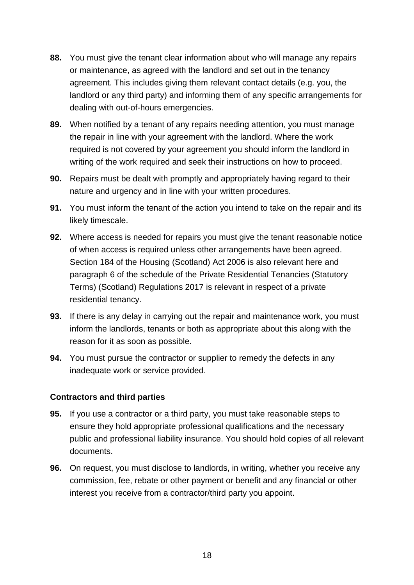- **88.** You must give the tenant clear information about who will manage any repairs or maintenance, as agreed with the landlord and set out in the tenancy agreement. This includes giving them relevant contact details (e.g. you, the landlord or any third party) and informing them of any specific arrangements for dealing with out-of-hours emergencies.
- **89.** When notified by a tenant of any repairs needing attention, you must manage the repair in line with your agreement with the landlord. Where the work required is not covered by your agreement you should inform the landlord in writing of the work required and seek their instructions on how to proceed.
- **90.** Repairs must be dealt with promptly and appropriately having regard to their nature and urgency and in line with your written procedures.
- **91.** You must inform the tenant of the action you intend to take on the repair and its likely timescale.
- **92.** Where access is needed for repairs you must give the tenant reasonable notice of when access is required unless other arrangements have been agreed. Section 184 of the Housing (Scotland) Act 2006 is also relevant here and paragraph 6 of the schedule of the Private Residential Tenancies (Statutory Terms) (Scotland) Regulations 2017 is relevant in respect of a private residential tenancy.
- **93.** If there is any delay in carrying out the repair and maintenance work, you must inform the landlords, tenants or both as appropriate about this along with the reason for it as soon as possible.
- **94.** You must pursue the contractor or supplier to remedy the defects in any inadequate work or service provided.

#### <span id="page-17-0"></span>**Contractors and third parties**

- **95.** If you use a contractor or a third party, you must take reasonable steps to ensure they hold appropriate professional qualifications and the necessary public and professional liability insurance. You should hold copies of all relevant documents.
- **96.** On request, you must disclose to landlords, in writing, whether you receive any commission, fee, rebate or other payment or benefit and any financial or other interest you receive from a contractor/third party you appoint.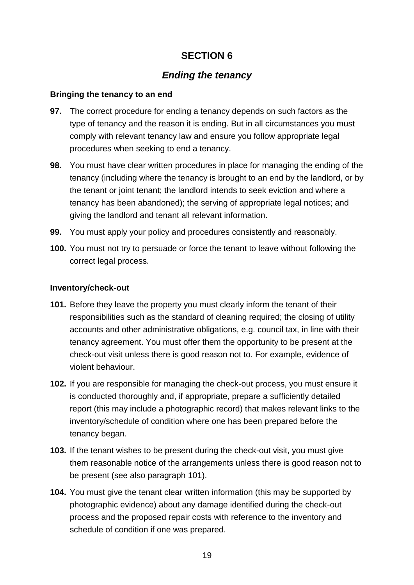## *Ending the tenancy*

#### <span id="page-18-1"></span><span id="page-18-0"></span>**Bringing the tenancy to an end**

- **97.** The correct procedure for ending a tenancy depends on such factors as the type of tenancy and the reason it is ending. But in all circumstances you must comply with relevant tenancy law and ensure you follow appropriate legal procedures when seeking to end a tenancy.
- **98.** You must have clear written procedures in place for managing the ending of the tenancy (including where the tenancy is brought to an end by the landlord, or by the tenant or joint tenant; the landlord intends to seek eviction and where a tenancy has been abandoned); the serving of appropriate legal notices; and giving the landlord and tenant all relevant information.
- **99.** You must apply your policy and procedures consistently and reasonably.
- **100.** You must not try to persuade or force the tenant to leave without following the correct legal process.

#### <span id="page-18-2"></span>**Inventory/check-out**

- **101.** Before they leave the property you must clearly inform the tenant of their responsibilities such as the standard of cleaning required; the closing of utility accounts and other administrative obligations, e.g. council tax, in line with their tenancy agreement. You must offer them the opportunity to be present at the check-out visit unless there is good reason not to. For example, evidence of violent behaviour.
- **102.** If you are responsible for managing the check-out process, you must ensure it is conducted thoroughly and, if appropriate, prepare a sufficiently detailed report (this may include a photographic record) that makes relevant links to the inventory/schedule of condition where one has been prepared before the tenancy began.
- **103.** If the tenant wishes to be present during the check-out visit, you must give them reasonable notice of the arrangements unless there is good reason not to be present (see also paragraph 101).
- **104.** You must give the tenant clear written information (this may be supported by photographic evidence) about any damage identified during the check-out process and the proposed repair costs with reference to the inventory and schedule of condition if one was prepared.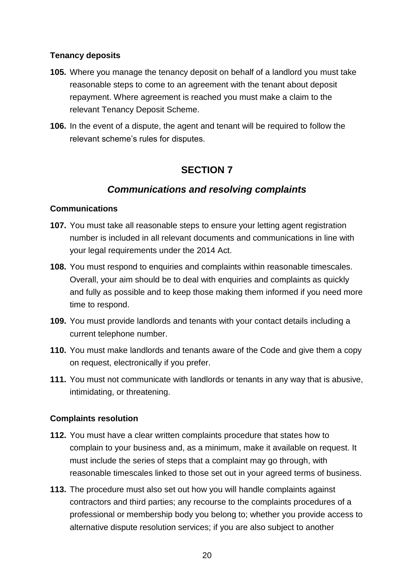#### <span id="page-19-0"></span>**Tenancy deposits**

- **105.** Where you manage the tenancy deposit on behalf of a landlord you must take reasonable steps to come to an agreement with the tenant about deposit repayment. Where agreement is reached you must make a claim to the relevant Tenancy Deposit Scheme.
- **106.** In the event of a dispute, the agent and tenant will be required to follow the relevant scheme's rules for disputes.

## **SECTION 7**

## *Communications and resolving complaints*

#### <span id="page-19-2"></span><span id="page-19-1"></span>**Communications**

- **107.** You must take all reasonable steps to ensure your letting agent registration number is included in all relevant documents and communications in line with your legal requirements under the 2014 Act.
- **108.** You must respond to enquiries and complaints within reasonable timescales. Overall, your aim should be to deal with enquiries and complaints as quickly and fully as possible and to keep those making them informed if you need more time to respond.
- **109.** You must provide landlords and tenants with your contact details including a current telephone number.
- **110.** You must make landlords and tenants aware of the Code and give them a copy on request, electronically if you prefer.
- **111.** You must not communicate with landlords or tenants in any way that is abusive, intimidating, or threatening.

#### <span id="page-19-3"></span>**Complaints resolution**

- **112.** You must have a clear written complaints procedure that states how to complain to your business and, as a minimum, make it available on request. It must include the series of steps that a complaint may go through, with reasonable timescales linked to those set out in your agreed terms of business.
- **113.** The procedure must also set out how you will handle complaints against contractors and third parties; any recourse to the complaints procedures of a professional or membership body you belong to; whether you provide access to alternative dispute resolution services; if you are also subject to another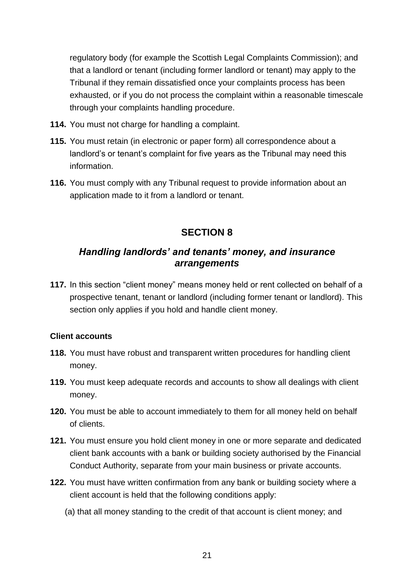regulatory body (for example the Scottish Legal Complaints Commission); and that a landlord or tenant (including former landlord or tenant) may apply to the Tribunal if they remain dissatisfied once your complaints process has been exhausted, or if you do not process the complaint within a reasonable timescale through your complaints handling procedure.

- **114.** You must not charge for handling a complaint.
- **115.** You must retain (in electronic or paper form) all correspondence about a landlord's or tenant's complaint for five years as the Tribunal may need this information.
- **116.** You must comply with any Tribunal request to provide information about an application made to it from a landlord or tenant.

## **SECTION 8**

## <span id="page-20-0"></span>*Handling landlords' and tenants' money, and insurance arrangements*

**117.** In this section "client money" means money held or rent collected on behalf of a prospective tenant, tenant or landlord (including former tenant or landlord). This section only applies if you hold and handle client money.

#### <span id="page-20-1"></span>**Client accounts**

- **118.** You must have robust and transparent written procedures for handling client money.
- **119.** You must keep adequate records and accounts to show all dealings with client money.
- **120.** You must be able to account immediately to them for all money held on behalf of clients.
- **121.** You must ensure you hold client money in one or more separate and dedicated client bank accounts with a bank or building society authorised by the Financial Conduct Authority, separate from your main business or private accounts.
- **122.** You must have written confirmation from any bank or building society where a client account is held that the following conditions apply:
	- (a) that all money standing to the credit of that account is client money; and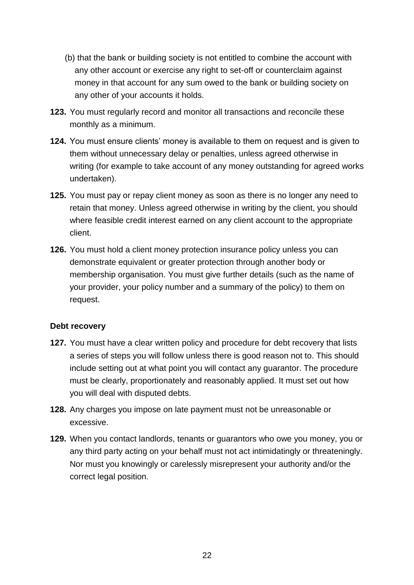- (b) that the bank or building society is not entitled to combine the account with any other account or exercise any right to set-off or counterclaim against money in that account for any sum owed to the bank or building society on any other of your accounts it holds.
- **123.** You must regularly record and monitor all transactions and reconcile these monthly as a minimum.
- **124.** You must ensure clients' money is available to them on request and is given to them without unnecessary delay or penalties, unless agreed otherwise in writing (for example to take account of any money outstanding for agreed works undertaken).
- **125.** You must pay or repay client money as soon as there is no longer any need to retain that money. Unless agreed otherwise in writing by the client, you should where feasible credit interest earned on any client account to the appropriate client.
- **126.** You must hold a client money protection insurance policy unless you can demonstrate equivalent or greater protection through another body or membership organisation. You must give further details (such as the name of your provider, your policy number and a summary of the policy) to them on request.

#### <span id="page-21-0"></span>**Debt recovery**

- **127.** You must have a clear written policy and procedure for debt recovery that lists a series of steps you will follow unless there is good reason not to. This should include setting out at what point you will contact any guarantor. The procedure must be clearly, proportionately and reasonably applied. It must set out how you will deal with disputed debts.
- **128.** Any charges you impose on late payment must not be unreasonable or excessive.
- <span id="page-21-1"></span>**129.** When you contact landlords, tenants or guarantors who owe you money, you or any third party acting on your behalf must not act intimidatingly or threateningly. Nor must you knowingly or carelessly misrepresent your authority and/or the correct legal position.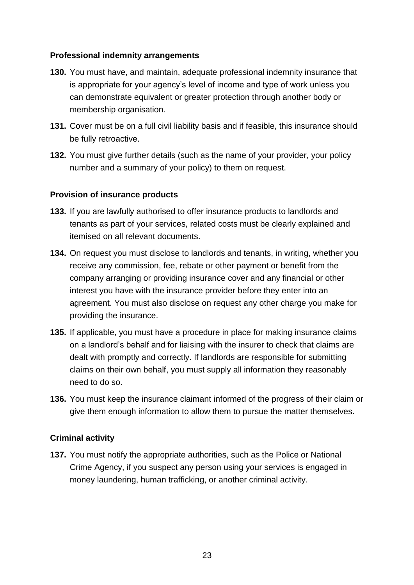#### **Professional indemnity arrangements**

- **130.** You must have, and maintain, adequate professional indemnity insurance that is appropriate for your agency's level of income and type of work unless you can demonstrate equivalent or greater protection through another body or membership organisation.
- **131.** Cover must be on a full civil liability basis and if feasible, this insurance should be fully retroactive.
- **132.** You must give further details (such as the name of your provider, your policy number and a summary of your policy) to them on request.

#### <span id="page-22-0"></span>**Provision of insurance products**

- **133.** If you are lawfully authorised to offer insurance products to landlords and tenants as part of your services, related costs must be clearly explained and itemised on all relevant documents.
- **134.** On request you must disclose to landlords and tenants, in writing, whether you receive any commission, fee, rebate or other payment or benefit from the company arranging or providing insurance cover and any financial or other interest you have with the insurance provider before they enter into an agreement. You must also disclose on request any other charge you make for providing the insurance.
- **135.** If applicable, you must have a procedure in place for making insurance claims on a landlord's behalf and for liaising with the insurer to check that claims are dealt with promptly and correctly. If landlords are responsible for submitting claims on their own behalf, you must supply all information they reasonably need to do so.
- **136.** You must keep the insurance claimant informed of the progress of their claim or give them enough information to allow them to pursue the matter themselves.

#### <span id="page-22-1"></span>**Criminal activity**

**137.** You must notify the appropriate authorities, such as the Police or National Crime Agency, if you suspect any person using your services is engaged in money laundering, human trafficking, or another criminal activity.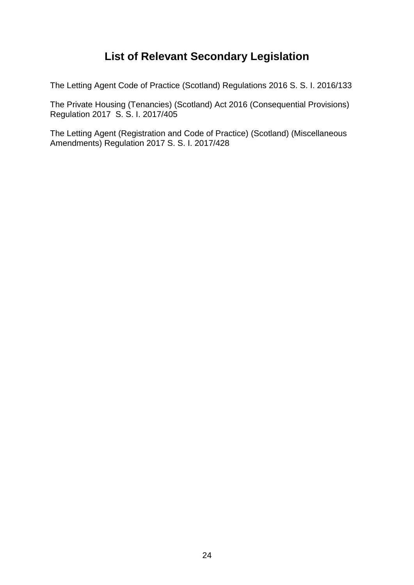## **List of Relevant Secondary Legislation**

<span id="page-23-0"></span>The Letting Agent Code of Practice (Scotland) Regulations 2016 S. S. I. 2016/133

The Private Housing (Tenancies) (Scotland) Act 2016 (Consequential Provisions) Regulation 2017 S. S. I. 2017/405

The Letting Agent (Registration and Code of Practice) (Scotland) (Miscellaneous Amendments) Regulation 2017 S. S. I. 2017/428